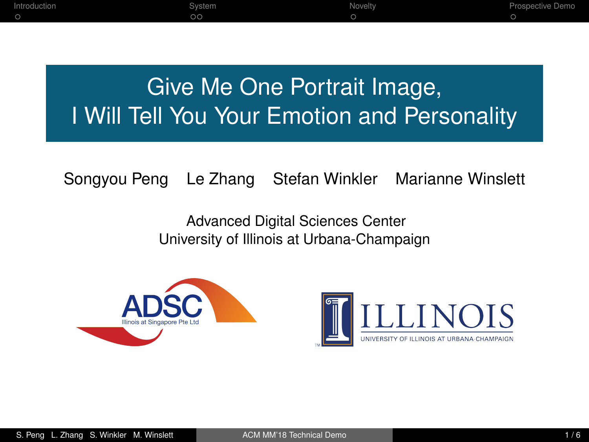<span id="page-0-0"></span>

| ntroduction<br>Svstem | Novelty | Prospective Demo |
|-----------------------|---------|------------------|
| $\circ$               |         |                  |

# Give Me One Portrait Image, I Will Tell You Your Emotion and Personality

Songyou Peng Le Zhang Stefan Winkler Marianne Winslett

Advanced Digital Sciences Center University of Illinois at Urbana-Champaign



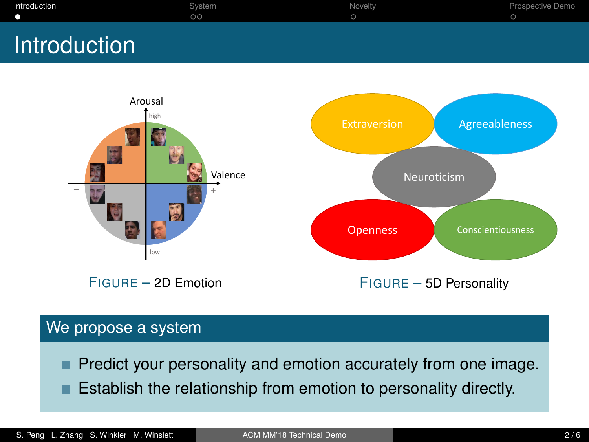<span id="page-1-0"></span>

| Introduction | r<br>Svstem  | Novelty | $\overline{\phantom{a}}$<br>Prospective Demo |
|--------------|--------------|---------|----------------------------------------------|
|              | $\sim$<br>vv |         |                                              |
|              |              |         |                                              |

## **Introduction**



#### We propose a system

Predict your personality and emotion accurately from one image.

Establish the relationship from emotion to personality directly.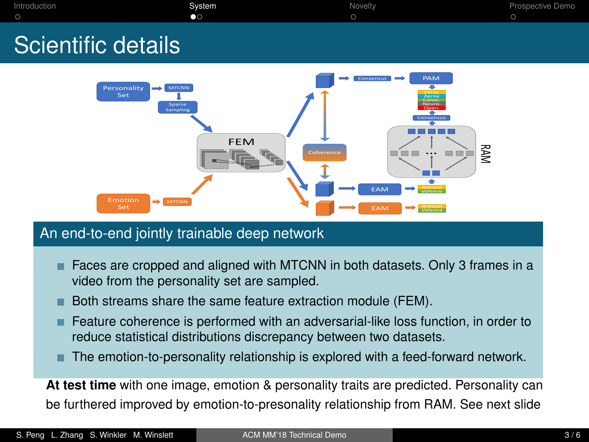<span id="page-2-0"></span>

| Introduction       | Svstem<br>80 | Novelty | Prospective Demo |
|--------------------|--------------|---------|------------------|
| Scientific details |              |         |                  |



#### An end-to-end jointly trainable deep network

- Faces are cropped and aligned with MTCNN in both datasets. Only 3 frames in a video from the personality set are sampled.
- Both streams share the same feature extraction module (FEM).
- **Feature coherence is performed with an adversarial-like loss function, in order to** reduce statistical distributions discrepancy between two datasets.
- The emotion-to-personality relationship is explored with a feed-forward network. п

**At test time** with one image, emotion & personality traits are predicted. Personality can be furthered improved by emotion-to-presonality relationship from RAM. See next slide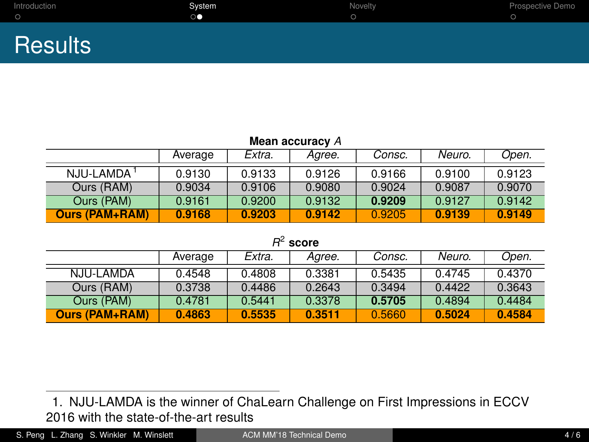| Introduction   | System | Novelty | Prospective Demo |
|----------------|--------|---------|------------------|
|                |        |         |                  |
|                |        |         |                  |
|                |        |         |                  |
| <b>Results</b> |        |         |                  |
|                |        |         |                  |

| Mean accuracy A        |         |        |        |        |        |        |
|------------------------|---------|--------|--------|--------|--------|--------|
|                        | Average | Extra. | Aaree. | Consc. | Neuro. | Open.  |
| NJU-LAMDA <sup>1</sup> | 0.9130  | 0.9133 | 0.9126 | 0.9166 | 0.9100 | 0.9123 |
| Ours (RAM)             | 0.9034  | 0.9106 | 0.9080 | 0.9024 | 0.9087 | 0.9070 |
| Ours (PAM)             | 0.9161  | 0.9200 | 0.9132 | 0.9209 | 0.9127 | 0.9142 |
| <b>Ours (PAM+RAM)</b>  | 0.9168  | 0.9203 | 0.9142 | 0.9205 | 0.9139 | 0.9149 |

*R* 2 **score**

|                       | Average | Extra. | Agree. | Consc. | Neuro. | Open.  |
|-----------------------|---------|--------|--------|--------|--------|--------|
| NJU-LAMDA             | 0.4548  | 0.4808 | 0.3381 | 0.5435 | 04745  | 0.4370 |
| Ours (RAM)            | 0.3738  | 0.4486 | 0.2643 | 0.3494 | 0.4422 | 0.3643 |
| Ours (PAM)            | 0.4781  | 0.5441 | 0.3378 | 0.5705 | 0.4894 | 0.4484 |
| <b>Ours (PAM+RAM)</b> | 0.4863  | 0.5535 | 0.3511 | 0.5660 | 0.5024 | 0.4584 |

S. Peng L. Zhang S. Winkler M. Winslett [ACM MM'18 Technical Demo](#page-0-0) **And Acmical Demo** 4 / 6

<sup>1.</sup> NJU-LAMDA is the winner of ChaLearn Challenge on First Impressions in ECCV 2016 with the state-of-the-art results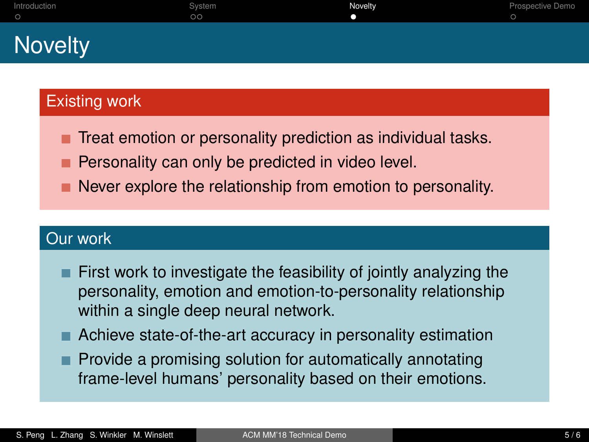<span id="page-4-0"></span>

| Introduction   | System<br>$\circ$ | Novelty | Prospective Demo |
|----------------|-------------------|---------|------------------|
| <b>Novelty</b> |                   |         |                  |

## Existing work

- Treat emotion or personality prediction as individual tasks.
- Personality can only be predicted in video level.
- Never explore the relationship from emotion to personality.

## Our work

- First work to investigate the feasibility of jointly analyzing the personality, emotion and emotion-to-personality relationship within a single deep neural network.
- Achieve state-of-the-art accuracy in personality estimation
- Provide a promising solution for automatically annotating frame-level humans' personality based on their emotions.